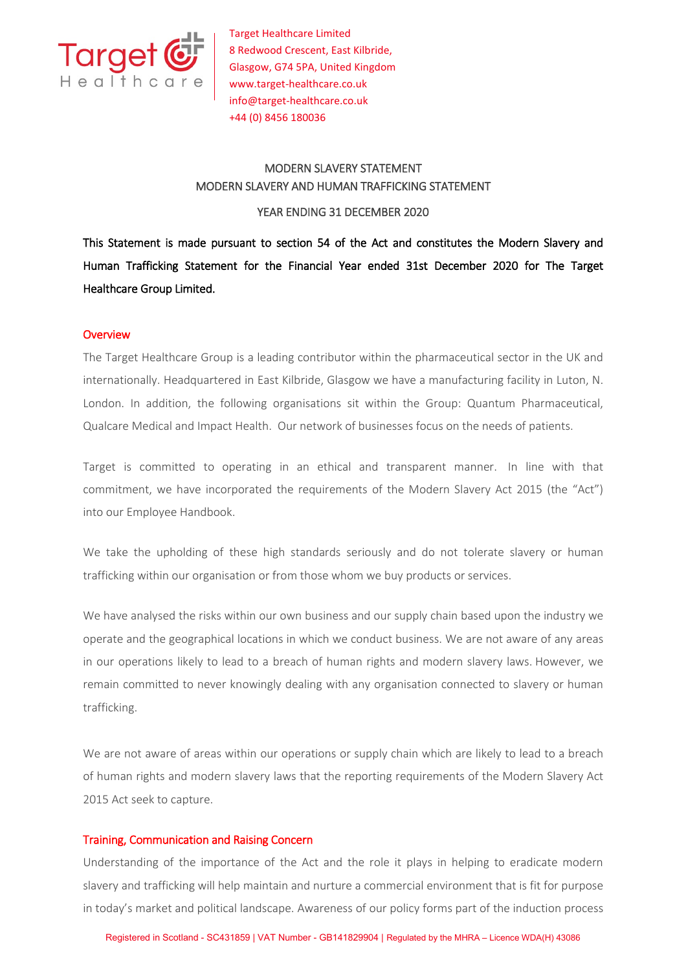

Target Healthcare Limited 8 Redwood Crescent, East Kilbride, Glasgow, G74 5PA, United Kingdom www.target-healthcare.co.uk info@target-healthcare.co.uk +44 (0) 8456 180036

# MODERN SLAVERY STATEMENT MODERN SLAVERY AND HUMAN TRAFFICKING STATEMENT

### YEAR ENDING 31 DECEMBER 2020

This Statement is made pursuant to section 54 of the Act and constitutes the Modern Slavery and Human Trafficking Statement for the Financial Year ended 31st December 2020 for The Target Healthcare Group Limited.

# **Overview**

The Target Healthcare Group is a leading contributor within the pharmaceutical sector in the UK and internationally. Headquartered in East Kilbride, Glasgow we have a manufacturing facility in Luton, N. London. In addition, the following organisations sit within the Group: Quantum Pharmaceutical, Qualcare Medical and Impact Health. Our network of businesses focus on the needs of patients.

Target is committed to operating in an ethical and transparent manner. In line with that commitment, we have incorporated the requirements of the Modern Slavery Act 2015 (the "Act") into our Employee Handbook.

We take the upholding of these high standards seriously and do not tolerate slavery or human trafficking within our organisation or from those whom we buy products or services.

We have analysed the risks within our own business and our supply chain based upon the industry we operate and the geographical locations in which we conduct business. We are not aware of any areas in our operations likely to lead to a breach of human rights and modern slavery laws. However, we remain committed to never knowingly dealing with any organisation connected to slavery or human trafficking.

We are not aware of areas within our operations or supply chain which are likely to lead to a breach of human rights and modern slavery laws that the reporting requirements of the Modern Slavery Act 2015 Act seek to capture.

# Training, Communication and Raising Concern

Understanding of the importance of the Act and the role it plays in helping to eradicate modern slavery and trafficking will help maintain and nurture a commercial environment that is fit for purpose in today's market and political landscape. Awareness of our policy forms part of the induction process